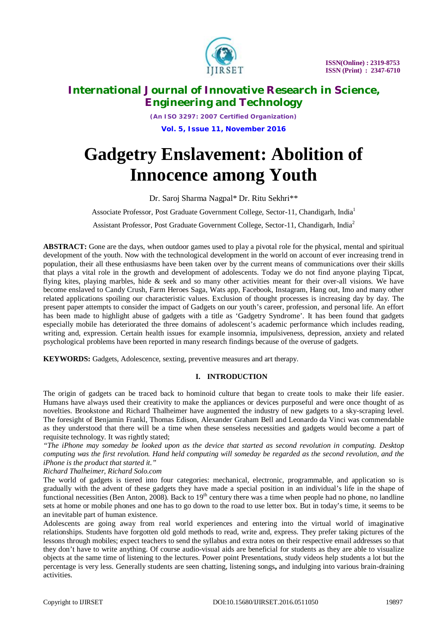

*(An ISO 3297: 2007 Certified Organization)* **Vol. 5, Issue 11, November 2016**

# **Gadgetry Enslavement: Abolition of Innocence among Youth**

Dr. Saroj Sharma Nagpal\* Dr. Ritu Sekhri\*\*

Associate Professor, Post Graduate Government College, Sector-11, Chandigarh, India<sup>1</sup>

Assistant Professor, Post Graduate Government College, Sector-11, Chandigarh, India<sup>2</sup>

**ABSTRACT:** Gone are the days, when outdoor games used to play a pivotal role for the physical, mental and spiritual development of the youth. Now with the technological development in the world on account of ever increasing trend in population, their all these enthusiasms have been taken over by the current means of communications over their skills that plays a vital role in the growth and development of adolescents. Today we do not find anyone playing Tipcat, flying kites, playing marbles, hide & seek and so many other activities meant for their over-all visions. We have become enslaved to Candy Crush, Farm Heroes Saga, Wats app, Facebook, Instagram, Hang out, Imo and many other related applications spoiling our characteristic values. Exclusion of thought processes is increasing day by day. The present paper attempts to consider the impact of Gadgets on our youth's career, profession, and personal life. An effort has been made to highlight abuse of gadgets with a title as 'Gadgetry Syndrome'. It has been found that gadgets especially mobile has deteriorated the three domains of adolescent's academic performance which includes reading, writing and, expression. Certain health issues for example insomnia, impulsiveness, depression, anxiety and related psychological problems have been reported in many research findings because of the overuse of gadgets.

**KEYWORDS:** Gadgets, Adolescence, sexting, preventive measures and art therapy.

## **I. INTRODUCTION**

The origin of gadgets can be traced back to hominoid culture that began to create tools to make their life easier. Humans have always used their creativity to make the appliances or devices purposeful and were once thought of as novelties. Brookstone and Richard Thalheimer have augmented the industry of new gadgets to a sky-scraping level. The foresight of Benjamin Frankl, Thomas Edison, Alexander Graham Bell and Leonardo da Vinci was commendable as they understood that there will be a time when these senseless necessities and gadgets would become a part of requisite technology. It was rightly stated;

*"The iPhone may someday be looked upon as the device that started as second revolution in computing. Desktop computing was the first revolution. Hand held computing will someday be regarded as the second revolution, and the iPhone is the product that started it."*

*Richard Thalheimer, Richard Solo.com*

The world of gadgets is tiered into four categories: mechanical, electronic, programmable, and application so is gradually with the advent of these gadgets they have made a special position in an individual's life in the shape of functional necessities (Ben Anton, 2008). Back to  $19<sup>th</sup>$  century there was a time when people had no phone, no landline sets at home or mobile phones and one has to go down to the road to use letter box. But in today's time, it seems to be an inevitable part of human existence.

Adolescents are going away from real world experiences and entering into the virtual world of imaginative relationships. Students have forgotten old gold methods to read, write and, express. They prefer taking pictures of the lessons through mobiles; expect teachers to send the syllabus and extra notes on their respective email addresses so that they don't have to write anything. Of course audio-visual aids are beneficial for students as they are able to visualize objects at the same time of listening to the lectures. Power point Presentations, study videos help students a lot but the percentage is very less. Generally students are seen chatting, listening songs**,** and indulging into various brain-draining activities.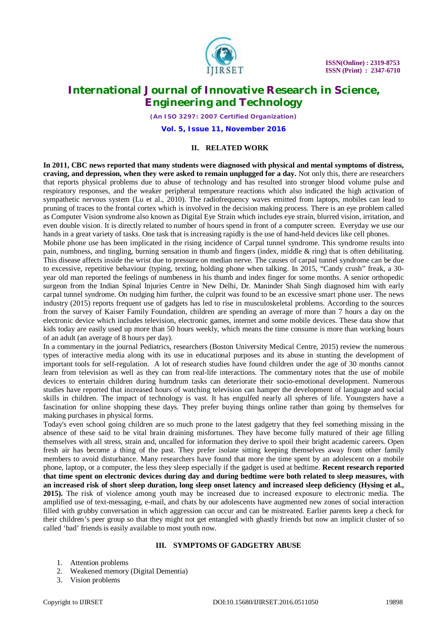

*(An ISO 3297: 2007 Certified Organization)*

**Vol. 5, Issue 11, November 2016**

#### **II. RELATED WORK**

**In 2011, CBC news reported that many students were diagnosed with physical and mental symptoms of distress, craving, and depression, when they were asked to remain unplugged for a day.** Not only this, there are researchers that reports physical problems due to abuse of technology and has resulted into stronger blood volume pulse and respiratory responses, and the weaker peripheral temperature reactions which also indicated the high activation of sympathetic nervous system (Lu et al., 2010). The radiofrequency waves emitted from laptops, mobiles can lead to pruning of traces to the frontal cortex which is involved in the decision making process. There is an eye problem called as Computer Vision syndrome also known as Digital Eye Strain which includes eye strain, blurred vision, irritation, and even double vision. It is directly related to number of hours spend in front of a computer screen. Everyday we use our hands in a great variety of tasks. One task that is increasing rapidly is the use of hand-held devices like cell phones.

Mobile phone use has been implicated in the rising incidence of Carpal tunnel syndrome. This syndrome results into pain, numbness, and tingling, burning sensation in thumb and fingers (index, middle & ring) that is often debilitating. This disease affects inside the wrist due to pressure on median nerve. The causes of carpal tunnel syndrome can be due to excessive, repetitive behaviour (typing, texting, holding phone when talking. In 2015, "Candy crush" freak, a 30 year old man reported the feelings of numbeness in his thumb and index finger for some months. A senior orthopedic surgeon from the Indian Spinal Injuries Centre in New Delhi, Dr. Maninder Shah Singh diagnosed him with early carpal tunnel syndrome. On nudging him further, the culprit was found to be an excessive smart phone user. The news industry (2015) reports frequent use of gadgets has led to rise in musculoskeletal problems. According to the sources from the survey of Kaiser Family Foundation, children are spending an average of more than 7 hours a day on the electronic device which includes television, electronic games, internet and some mobile devices. These data show that kids today are easily used up more than 50 hours weekly, which means the time consume is more than working hours of an adult (an average of 8 hours per day).

In a commentary in the journal Pediatrics, researchers (Boston University Medical Centre, 2015) review the numerous types of interactive media along with its use in educational purposes and its abuse in stunting the development of important tools for self-regulation. A lot of research studies have found children under the age of 30 months cannot learn from television as well as they can from real-life interactions. The commentary notes that the use of mobile devices to entertain children during humdrum tasks can deteriorate their socio-emotional development. Numerous studies have reported that increased hours of watching television can hamper the development of language and social skills in children. The impact of technology is vast. It has engulfed nearly all spheres of life. Youngsters have a fascination for online shopping these days. They prefer buying things online rather than going by themselves for making purchases in physical forms.

Today's even school going children are so much prone to the latest gadgetry that they feel something missing in the absence of these said to be vital brain draining misfortunes. They have become fully matured of their age filling themselves with all stress, strain and, uncalled for information they derive to spoil their bright academic careers. Open fresh air has become a thing of the past. They prefer isolate sitting keeping themselves away from other family members to avoid disturbance. Many researchers have found that more the time spent by an adolescent on a mobile phone, laptop, or a computer, the less they sleep especially if the gadget is used at bedtime. **Recent research reported that time spent on electronic devices during day and during bedtime were both related to sleep measures, with an increased risk of short sleep duration, long sleep onset latency and increased sleep deficiency (Hysing et al., 2015).** The risk of violence among youth may be increased due to increased exposure to electronic media. The amplified use of text-messaging, e-mail, and chats by our adolescents have augmented new zones of social interaction filled with grubby conversation in which aggression can occur and can be mistreated. Earlier parents keep a check for their children's peer group so that they might not get entangled with ghastly friends but now an implicit cluster of so called 'bad' friends is easily available to most youth now.

#### **III. SYMPTOMS OF GADGETRY ABUSE**

- 1. Attention problems
- 2. Weakened memory (Digital Dementia)
- 3. Vision problems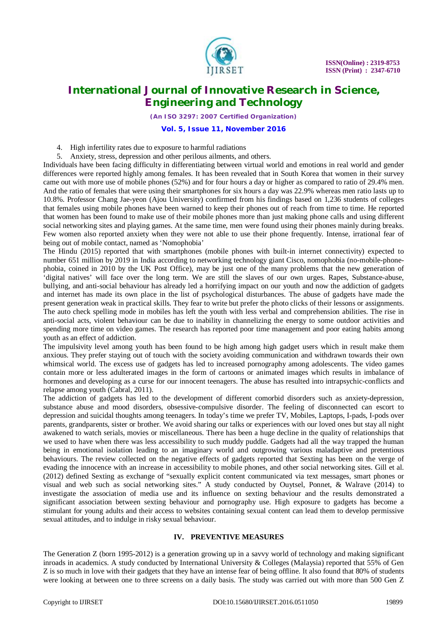

*(An ISO 3297: 2007 Certified Organization)*

#### **Vol. 5, Issue 11, November 2016**

- 4. High infertility rates due to exposure to harmful radiations
- 5. Anxiety, stress, depression and other perilous ailments, and others.

Individuals have been facing difficulty in differentiating between virtual world and emotions in real world and gender differences were reported highly among females. It has been revealed that in South Korea that women in their survey came out with more use of mobile phones (52%) and for four hours a day or higher as compared to ratio of 29.4% men. And the ratio of females that were using their smartphones for six hours a day was 22.9% whereas men ratio lasts up to 10.8%. Professor Chang Jae-yeon (Ajou University) confirmed from his findings based on 1,236 students of colleges that females using mobile phones have been warned to keep their phones out of reach from time to time. He reported that women has been found to make use of their mobile phones more than just making phone calls and using different social networking sites and playing games. At the same time, men were found using their phones mainly during breaks. Few women also reported anxiety when they were not able to use their phone frequently. Intense, irrational fear of being out of mobile contact, named as 'Nomophobia'

The Hindu (2015) reported that with smartphones (mobile phones with built-in internet connectivity) expected to number 651 million by 2019 in India according to networking technology giant Cisco, nomophobia (no-mobile-phonephobia, coined in 2010 by the UK Post Office), may be just one of the many problems that the new generation of 'digital natives' will face over the long term. We are still the slaves of our own urges. Rapes, Substance-abuse, bullying, and anti-social behaviour has already led a horrifying impact on our youth and now the addiction of gadgets and internet has made its own place in the list of psychological disturbances. The abuse of gadgets have made the present generation weak in practical skills. They fear to write but prefer the photo clicks of their lessons or assignments. The auto check spelling mode in mobiles has left the youth with less verbal and comprehension abilities. The rise in anti-social acts, violent behaviour can be due to inability in channelizing the energy to some outdoor activities and spending more time on video games. The research has reported poor time management and poor eating habits among youth as an effect of addiction.

The impulsivity level among youth has been found to be high among high gadget users which in result make them anxious. They prefer staying out of touch with the society avoiding communication and withdrawn towards their own whimsical world. The excess use of gadgets has led to increased pornography among adolescents. The video games contain more or less adulterated images in the form of cartoons or animated images which results in imbalance of hormones and developing as a curse for our innocent teenagers. The abuse has resulted into intrapsychic-conflicts and relapse among youth (Cabral, 2011).

The addiction of gadgets has led to the development of different comorbid disorders such as anxiety-depression, substance abuse and mood disorders, obsessive-compulsive disorder. The feeling of disconnected can escort to depression and suicidal thoughts among teenagers. In today's time we prefer TV, Mobiles, Laptops, I-pads, I-pods over parents, grandparents, sister or brother. We avoid sharing our talks or experiences with our loved ones but stay all night awakened to watch serials, movies or miscellaneous. There has been a huge decline in the quality of relationships that we used to have when there was less accessibility to such muddy puddle. Gadgets had all the way trapped the human being in emotional isolation leading to an imaginary world and outgrowing various maladaptive and pretentious behaviours. The review collected on the negative effects of gadgets reported that Sexting has been on the verge of evading the innocence with an increase in accessibility to mobile phones, and other social networking sites. Gill et al. (2012) defined Sexting as exchange of "sexually explicit content communicated via text messages, smart phones or visual and web such as social networking sites." A study conducted by Ouytsel, Ponnet, & Walrave (2014) to investigate the association of media use and its influence on sexting behaviour and the results demonstrated a significant association between sexting behaviour and pornography use. High exposure to gadgets has become a stimulant for young adults and their access to websites containing sexual content can lead them to develop permissive sexual attitudes, and to indulge in risky sexual behaviour.

#### **IV. PREVENTIVE MEASURES**

The Generation Z (born 1995-2012) is a generation growing up in a savvy world of technology and making significant inroads in academics. A study conducted by International University & Colleges (Malaysia) reported that 55% of Gen Z is so much in love with their gadgets that they have an intense fear of being offline. It also found that 80% of students were looking at between one to three screens on a daily basis. The study was carried out with more than 500 Gen Z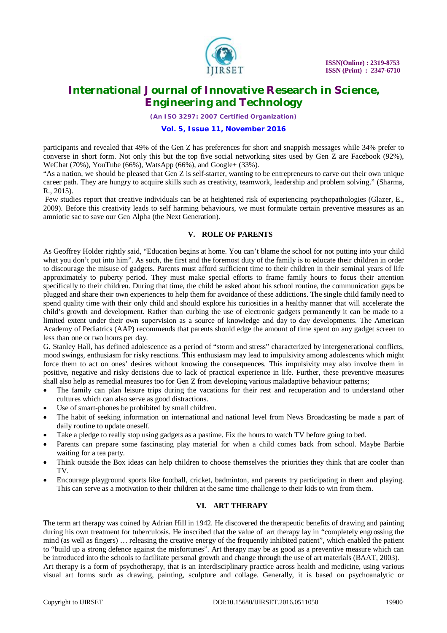

*(An ISO 3297: 2007 Certified Organization)*

**Vol. 5, Issue 11, November 2016**

participants and revealed that 49% of the Gen Z has preferences for short and snappish messages while 34% prefer to converse in short form. Not only this but the top five social networking sites used by Gen Z are Facebook (92%), WeChat (70%), YouTube (66%), WatsApp (66%), and Google+ (33%).

"As a nation, we should be pleased that Gen Z is self-starter, wanting to be entrepreneurs to carve out their own unique career path. They are hungry to acquire skills such as creativity, teamwork, leadership and problem solving." (Sharma, R., 2015).

Few studies report that creative individuals can be at heightened risk of experiencing psychopathologies (Glazer, E., 2009). Before this creativity leads to self harming behaviours, we must formulate certain preventive measures as an amniotic sac to save our Gen Alpha (the Next Generation).

#### **V. ROLE OF PARENTS**

As Geoffrey Holder rightly said, "Education begins at home. You can't blame the school for not putting into your child what you don't put into him". As such, the first and the foremost duty of the family is to educate their children in order to discourage the misuse of gadgets. Parents must afford sufficient time to their children in their seminal years of life approximately to puberty period. They must make special efforts to frame family hours to focus their attention specifically to their children. During that time, the child be asked about his school routine, the communication gaps be plugged and share their own experiences to help them for avoidance of these addictions. The single child family need to spend quality time with their only child and should explore his curiosities in a healthy manner that will accelerate the child's growth and development. Rather than curbing the use of electronic gadgets permanently it can be made to a limited extent under their own supervision as a source of knowledge and day to day developments. The American Academy of Pediatrics (AAP) recommends that parents should edge the amount of time spent on any gadget screen to less than one or two hours per day.

G. Stanley Hall, has defined adolescence as a period of "storm and stress" characterized by intergenerational conflicts, mood swings, enthusiasm for risky reactions. This enthusiasm may lead to impulsivity among adolescents which might force them to act on ones' desires without knowing the consequences. This impulsivity may also involve them in positive, negative and risky decisions due to lack of practical experience in life. Further, these preventive measures shall also help as remedial measures too for Gen Z from developing various maladaptive behaviour patterns;

- The family can plan leisure trips during the vacations for their rest and recuperation and to understand other cultures which can also serve as good distractions.
- Use of smart-phones be prohibited by small children.
- The habit of seeking information on international and national level from News Broadcasting be made a part of daily routine to update oneself.
- Take a pledge to really stop using gadgets as a pastime. Fix the hours to watch TV before going to bed.
- Parents can prepare some fascinating play material for when a child comes back from school. Maybe Barbie waiting for a tea party.
- Think outside the Box ideas can help children to choose themselves the priorities they think that are cooler than TV.
- Encourage playground sports like football, cricket, badminton, and parents try participating in them and playing. This can serve as a motivation to their children at the same time challenge to their kids to win from them.

## **VI. ART THERAPY**

The term art therapy was coined by Adrian Hill in 1942. He discovered the therapeutic benefits of drawing and painting during his own treatment for tuberculosis. He inscribed that the value of art therapy lay in "completely engrossing the mind (as well as fingers) … releasing the creative energy of the frequently inhibited patient", which enabled the patient to "build up a strong defence against the misfortunes". Art therapy may be as good as a preventive measure which can be introduced into the schools to facilitate personal growth and change through the use of art materials (BAAT, 2003). Art therapy is a form of psychotherapy, that is an interdisciplinary practice across health and medicine, using various visual art forms such as drawing, painting, sculpture and collage. Generally, it is based on psychoanalytic or